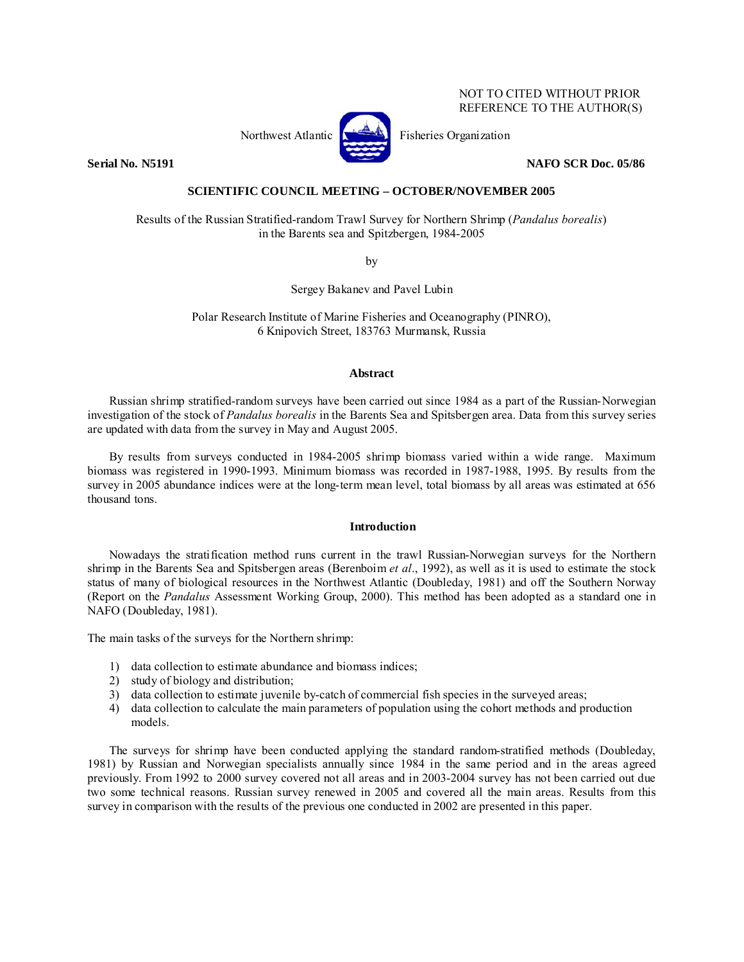# NOT TO CITED WITHOUT PRIOR REFERENCE TO THE AUTHOR(S)



Northwest Atlantic **No. 3. Expansion** Fisheries Organization

**Serial No. N5191 NAFO SCR Doc. 05/86** 

# **SCIENTIFIC COUNCIL MEETING – OCTOBER/NOVEMBER 2005**

Results of the Russian Stratified-random Trawl Survey for Northern Shrimp (*Pandalus borealis*) in the Barents sea and Spitzbergen, 1984-2005

by

Sergey Bakanev and Pavel Lubin

Polar Research Institute of Marine Fisheries and Oceanography (PINRO), 6 Knipovich Street, 183763 Murmansk, Russia

# **Abstract**

Russian shrimp stratified-random surveys have been carried out since 1984 as a part of the Russian-Norwegian investigation of the stock of *Pandalus borealis* in the Barents Sea and Spitsbergen area. Data from this survey series are updated with data from the survey in May and August 2005.

By results from surveys conducted in 1984-2005 shrimp biomass varied within a wide range. Maximum biomass was registered in 1990-1993. Minimum biomass was recorded in 1987-1988, 1995. By results from the survey in 2005 abundance indices were at the long-term mean level, total biomass by all areas was estimated at 656 thousand tons.

# **Introduction**

Nowadays the stratification method runs current in the trawl Russian-Norwegian surveys for the Northern shrimp in the Barents Sea and Spitsbergen areas (Berenboim *et al*., 1992), as well as it is used to estimate the stock status of many of biological resources in the Northwest Atlantic (Doubleday, 1981) and off the Southern Norway (Report on the *Pandalus* Assessment Working Group, 2000). This method has been adopted as a standard one in NAFO (Doubleday, 1981).

The main tasks of the surveys for the Northern shrimp:

- 1) data collection to estimate abundance and biomass indices;
- 2) study of biology and distribution;
- 3) data collection to estimate juvenile by-catch of commercial fish species in the surveyed areas;
- 4) data collection to calculate the main parameters of population using the cohort methods and production models.

The surveys for shrimp have been conducted applying the standard random-stratified methods (Doubleday, 1981) by Russian and Norwegian specialists annually since 1984 in the same period and in the areas agreed previously. From 1992 to 2000 survey covered not all areas and in 2003-2004 survey has not been carried out due two some technical reasons. Russian survey renewed in 2005 and covered all the main areas. Results from this survey in comparison with the results of the previous one conducted in 2002 are presented in this paper.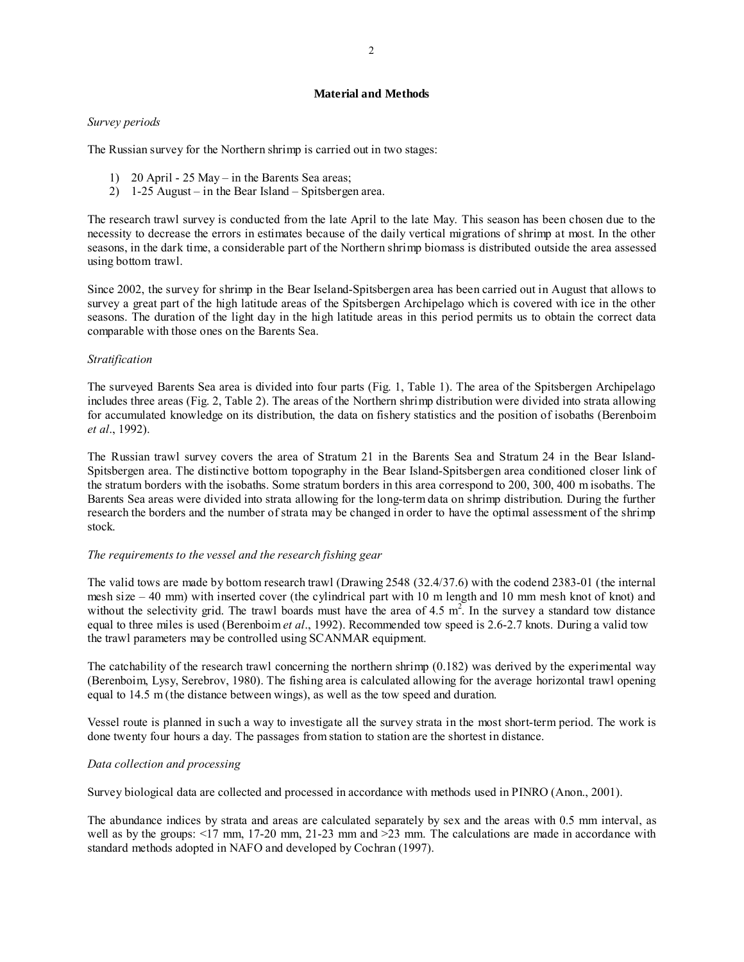# **Material and Methods**

# *Survey periods*

The Russian survey for the Northern shrimp is carried out in two stages:

- 1) 20 April 25 May in the Barents Sea areas;
- 2) 1-25 August in the Bear Island Spitsbergen area.

The research trawl survey is conducted from the late April to the late May. This season has been chosen due to the necessity to decrease the errors in estimates because of the daily vertical migrations of shrimp at most. In the other seasons, in the dark time, a considerable part of the Northern shrimp biomass is distributed outside the area assessed using bottom trawl.

Since 2002, the survey for shrimp in the Bear Iseland-Spitsbergen area has been carried out in August that allows to survey a great part of the high latitude areas of the Spitsbergen Archipelago which is covered with ice in the other seasons. The duration of the light day in the high latitude areas in this period permits us to obtain the correct data comparable with those ones on the Barents Sea.

## *Stratification*

The surveyed Barents Sea area is divided into four parts (Fig. 1, Table 1). The area of the Spitsbergen Archipelago includes three areas (Fig. 2, Table 2). The areas of the Northern shrimp distribution were divided into strata allowing for accumulated knowledge on its distribution, the data on fishery statistics and the position of isobaths (Berenboim *et al*., 1992).

The Russian trawl survey covers the area of Stratum 21 in the Barents Sea and Stratum 24 in the Bear Island-Spitsbergen area. The distinctive bottom topography in the Bear Island-Spitsbergen area conditioned closer link of the stratum borders with the isobaths. Some stratum borders in this area correspond to 200, 300, 400 m isobaths. The Barents Sea areas were divided into strata allowing for the long-term data on shrimp distribution. During the further research the borders and the number of strata may be changed in order to have the optimal assessment of the shrimp stock.

## *The requirements to the vessel and the research fishing gear*

The valid tows are made by bottom research trawl (Drawing 2548 (32.4/37.6) with the codend 2383-01 (the internal mesh size – 40 mm) with inserted cover (the cylindrical part with 10 m length and 10 mm mesh knot of knot) and without the selectivity grid. The trawl boards must have the area of 4.5  $m^2$ . In the survey a standard tow distance equal to three miles is used (Berenboim *et al*., 1992). Recommended tow speed is 2.6-2.7 knots. During a valid tow the trawl parameters may be controlled using SCANMAR equipment.

The catchability of the research trawl concerning the northern shrimp (0.182) was derived by the experimental way (Berenboim, Lysy, Serebrov, 1980). The fishing area is calculated allowing for the average horizontal trawl opening equal to 14.5 m (the distance between wings), as well as the tow speed and duration.

Vessel route is planned in such a way to investigate all the survey strata in the most short-term period. The work is done twenty four hours a day. The passages from station to station are the shortest in distance.

## *Data collection and processing*

Survey biological data are collected and processed in accordance with methods used in PINRO (Anon., 2001).

The abundance indices by strata and areas are calculated separately by sex and the areas with 0.5 mm interval, as well as by the groups:  $\leq 17$  mm, 17-20 mm, 21-23 mm and  $\geq 23$  mm. The calculations are made in accordance with standard methods adopted in NAFO and developed by Cochran (1997).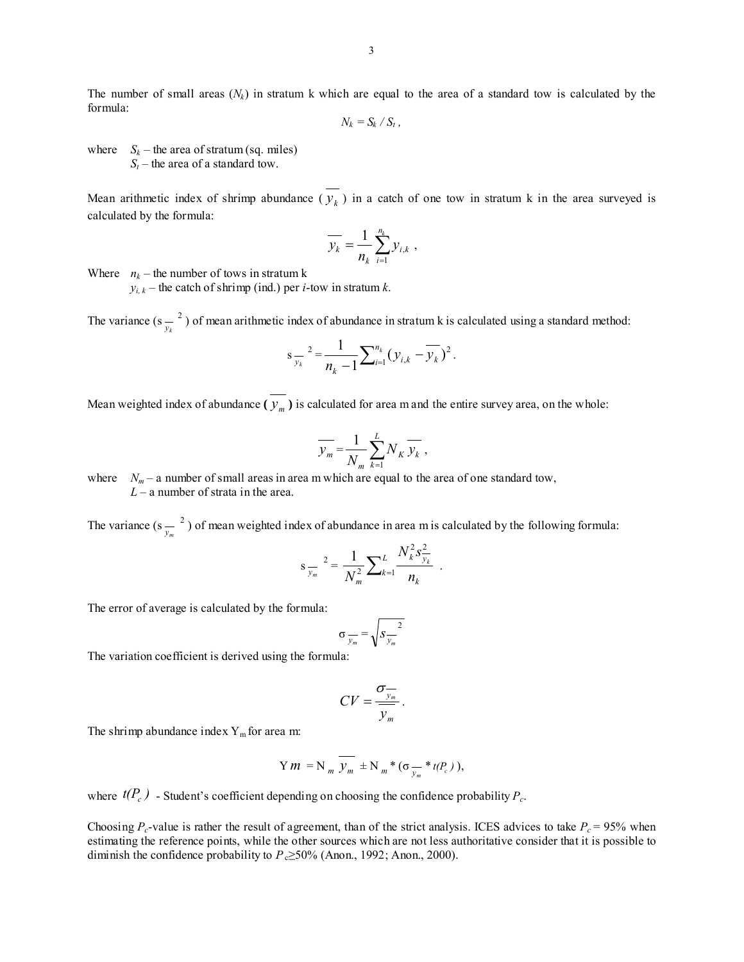The number of small areas  $(N_k)$  in stratum k which are equal to the area of a standard tow is calculated by the formula:

$$
N_k = S_k \, / \, S_t \, ,
$$

where  $S_k$  – the area of stratum (sq. miles)  $S_t$  – the area of a standard tow.

Mean arithmetic index of shrimp abundance  $(\overline{y_k})$  in a catch of one tow in stratum k in the area surveyed is calculated by the formula:

$$
\overline{y_k} = \frac{1}{n_k} \sum_{i=1}^{n_k} y_{i,k} ,
$$

Where  $n_k$  – the number of tows in stratum k

 $y_{i,k}$  – the catch of shrimp (ind.) per *i*-tow in stratum *k*.

The variance  $(s_{\frac{y}{k}}^2)$  of mean arithmetic index of abundance in stratum k is calculated using a standard method:

$$
s_{\overline{y_k}}^2 = \frac{1}{n_k - 1} \sum_{i=1}^{n_k} (y_{i,k} - \overline{y_k})^2.
$$

Mean weighted index of abundance  $(\overline{y_m})$  is calculated for area m and the entire survey area, on the whole:

$$
\overline{y_m} = \frac{1}{N_m} \sum_{k=1}^{L} N_K \overline{y_k} ,
$$

where  $N_m - a$  number of small areas in area m which are equal to the area of one standard tow, *L* – a number of strata in the area.

The variance ( $s_{\frac{y_m}{x_m}}^2$ ) of mean weighted index of abundance in area m is calculated by the following formula:

$$
s_{\overline{y_m}}^2 = \frac{1}{N_m^2} \sum_{k=1}^L \frac{N_k^2 s_{\overline{y_k}}^2}{n_k} .
$$

The error of average is calculated by the formula:

$$
\sigma_{\overline{y_m}} = \sqrt{S_{\overline{y_m}}^2}
$$

The variation coefficient is derived using the formula:

$$
CV = \frac{\sigma_{\overline{y_m}}}{\overline{y_m}}.
$$

The shrimp abundance index  $Y_m$  for area m:

$$
\label{eq:Y} \Upsilon\,m\,=\mathrm{N}_{\,m}\,\overline{\,\mathcal{Y}_{m}\,}\,\pm\mathrm{N}_{\,m}\,^{\,\ast}\,(\sigma\,\underset{\mathcal{Y}_{m}}{\boldsymbol{\mathcal{W}}}\,^{\,\ast}\,t(P_{c}\,)\,),
$$

where  $t(P_c)$  - Student's coefficient depending on choosing the confidence probability  $P_c$ .

Choosing  $P_c$ -value is rather the result of agreement, than of the strict analysis. ICES advices to take  $P_c = 95\%$  when estimating the reference points, while the other sources which are not less authoritative consider that it is possible to diminish the confidence probability to *P*<sub>c</sub>≥50% (Anon., 1992; Anon., 2000).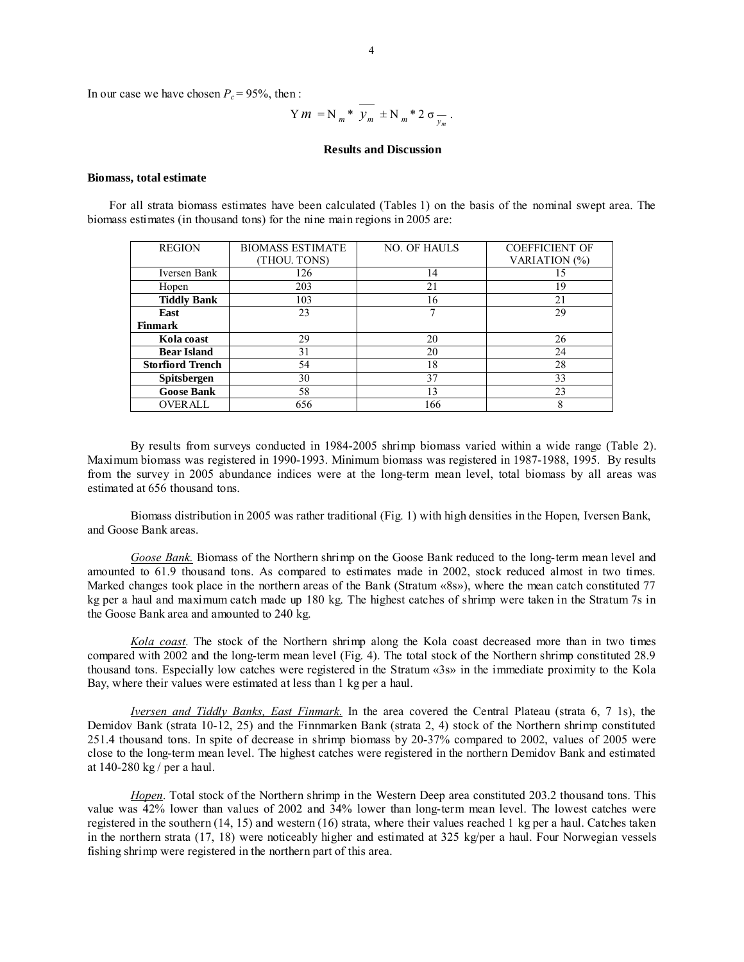In our case we have chosen  $P_c = 95\%$ , then :

$$
Ym = N_m * \overline{y_m} \pm N_m * 2 \sigma_{\overline{y_m}}.
$$

#### **Results and Discussion**

#### **Biomass, total estimate**

For all strata biomass estimates have been calculated (Tables 1) on the basis of the nominal swept area. The biomass estimates (in thousand tons) for the nine main regions in 2005 are:

| <b>BIOMASS ESTIMATE</b> | <b>NO. OF HAULS</b> | <b>COEFFICIENT OF</b> |  |  |
|-------------------------|---------------------|-----------------------|--|--|
| (THOU. TONS)            |                     | VARIATION (%)         |  |  |
| 126                     | 14                  | 15                    |  |  |
| 203                     | 21                  | 19                    |  |  |
| 103                     | 16                  | 21                    |  |  |
| 23                      |                     | 29                    |  |  |
|                         |                     |                       |  |  |
| 29                      | 20                  | 26                    |  |  |
| 31                      | 20                  | 24                    |  |  |
| 54                      | 18                  | 28                    |  |  |
| 30                      | 37                  | 33                    |  |  |
| 58                      | 13                  | 23                    |  |  |
| 656                     | 166                 | 8                     |  |  |
|                         |                     |                       |  |  |

By results from surveys conducted in 1984-2005 shrimp biomass varied within a wide range (Table 2). Maximum biomass was registered in 1990-1993. Minimum biomass was registered in 1987-1988, 1995. By results from the survey in 2005 abundance indices were at the long-term mean level, total biomass by all areas was estimated at 656 thousand tons.

Biomass distribution in 2005 was rather traditional (Fig. 1) with high densities in the Hopen, Iversen Bank, and Goose Bank areas.

*Goose Bank.* Biomass of the Northern shrimp on the Goose Bank reduced to the long-term mean level and amounted to 61.9 thousand tons. As compared to estimates made in 2002, stock reduced almost in two times. Marked changes took place in the northern areas of the Bank (Stratum «8s»), where the mean catch constituted 77 kg per a haul and maximum catch made up 180 kg. The highest catches of shrimp were taken in the Stratum 7s in the Goose Bank area and amounted to 240 kg.

*Kola coast.* The stock of the Northern shrimp along the Kola coast decreased more than in two times compared with 2002 and the long-term mean level (Fig. 4). The total stock of the Northern shrimp constituted 28.9 thousand tons. Especially low catches were registered in the Stratum «3s» in the immediate proximity to the Kola Bay, where their values were estimated at less than 1 kg per a haul.

*Iversen and Tiddly Banks, East Finmark.* In the area covered the Central Plateau (strata 6, 7 1s), the Demidov Bank (strata 10-12, 25) and the Finnmarken Bank (strata 2, 4) stock of the Northern shrimp constituted 251.4 thousand tons. In spite of decrease in shrimp biomass by 20-37% compared to 2002, values of 2005 were close to the long-term mean level. The highest catches were registered in the northern Demidov Bank and estimated at 140-280 kg / per a haul.

*Hopen*. Total stock of the Northern shrimp in the Western Deep area constituted 203.2 thousand tons. This value was 42% lower than values of 2002 and 34% lower than long-term mean level. The lowest catches were registered in the southern (14, 15) and western (16) strata, where their values reached 1 kg per a haul. Catches taken in the northern strata (17, 18) were noticeably higher and estimated at 325 kg/per a haul. Four Norwegian vessels fishing shrimp were registered in the northern part of this area.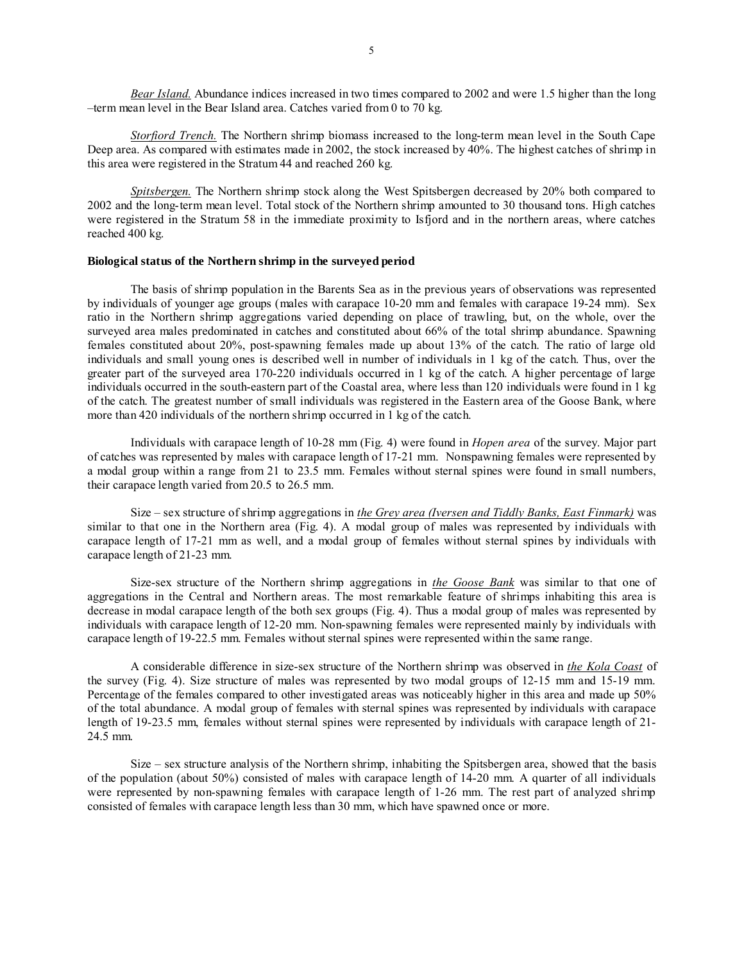*Bear Island.* Abundance indices increased in two times compared to 2002 and were 1.5 higher than the long –term mean level in the Bear Island area. Catches varied from 0 to 70 kg.

*Storfiord Trench.* The Northern shrimp biomass increased to the long-term mean level in the South Cape Deep area. As compared with estimates made in 2002, the stock increased by 40%. The highest catches of shrimp in this area were registered in the Stratum 44 and reached 260 kg.

*Spitsbergen.* The Northern shrimp stock along the West Spitsbergen decreased by 20% both compared to 2002 and the long-term mean level. Total stock of the Northern shrimp amounted to 30 thousand tons. High catches were registered in the Stratum 58 in the immediate proximity to Isfjord and in the northern areas, where catches reached 400 kg.

### **Biological status of the Northern shrimp in the surveyed period**

The basis of shrimp population in the Barents Sea as in the previous years of observations was represented by individuals of younger age groups (males with carapace 10-20 mm and females with carapace 19-24 mm). Sex ratio in the Northern shrimp aggregations varied depending on place of trawling, but, on the whole, over the surveyed area males predominated in catches and constituted about 66% of the total shrimp abundance. Spawning females constituted about 20%, post-spawning females made up about 13% of the catch. The ratio of large old individuals and small young ones is described well in number of individuals in 1 kg of the catch. Thus, over the greater part of the surveyed area 170-220 individuals occurred in 1 kg of the catch. A higher percentage of large individuals occurred in the south-eastern part of the Coastal area, where less than 120 individuals were found in 1 kg of the catch. The greatest number of small individuals was registered in the Eastern area of the Goose Bank, where more than 420 individuals of the northern shrimp occurred in 1 kg of the catch.

Individuals with carapace length of 10-28 mm (Fig. 4) were found in *Hopen area* of the survey. Major part of catches was represented by males with carapace length of 17-21 mm. Nonspawning females were represented by a modal group within a range from 21 to 23.5 mm. Females without sternal spines were found in small numbers, their carapace length varied from 20.5 to 26.5 mm.

Size – sex structure of shrimp aggregations in *the Grey area (Iversen and Tiddly Banks, East Finmark)* was similar to that one in the Northern area (Fig. 4). A modal group of males was represented by individuals with carapace length of 17-21 mm as well, and a modal group of females without sternal spines by individuals with carapace length of 21-23 mm.

Size-sex structure of the Northern shrimp aggregations in *the Goose Bank* was similar to that one of aggregations in the Central and Northern areas. The most remarkable feature of shrimps inhabiting this area is decrease in modal carapace length of the both sex groups (Fig. 4). Thus a modal group of males was represented by individuals with carapace length of 12-20 mm. Non-spawning females were represented mainly by individuals with carapace length of 19-22.5 mm. Females without sternal spines were represented within the same range.

A considerable difference in size-sex structure of the Northern shrimp was observed in *the Kola Coast* of the survey (Fig. 4). Size structure of males was represented by two modal groups of 12-15 mm and 15-19 mm. Percentage of the females compared to other investigated areas was noticeably higher in this area and made up 50% of the total abundance. A modal group of females with sternal spines was represented by individuals with carapace length of 19-23.5 mm, females without sternal spines were represented by individuals with carapace length of 21- 24.5 mm.

Size – sex structure analysis of the Northern shrimp, inhabiting the Spitsbergen area, showed that the basis of the population (about 50%) consisted of males with carapace length of 14-20 mm. A quarter of all individuals were represented by non-spawning females with carapace length of 1-26 mm. The rest part of analyzed shrimp consisted of females with carapace length less than 30 mm, which have spawned once or more.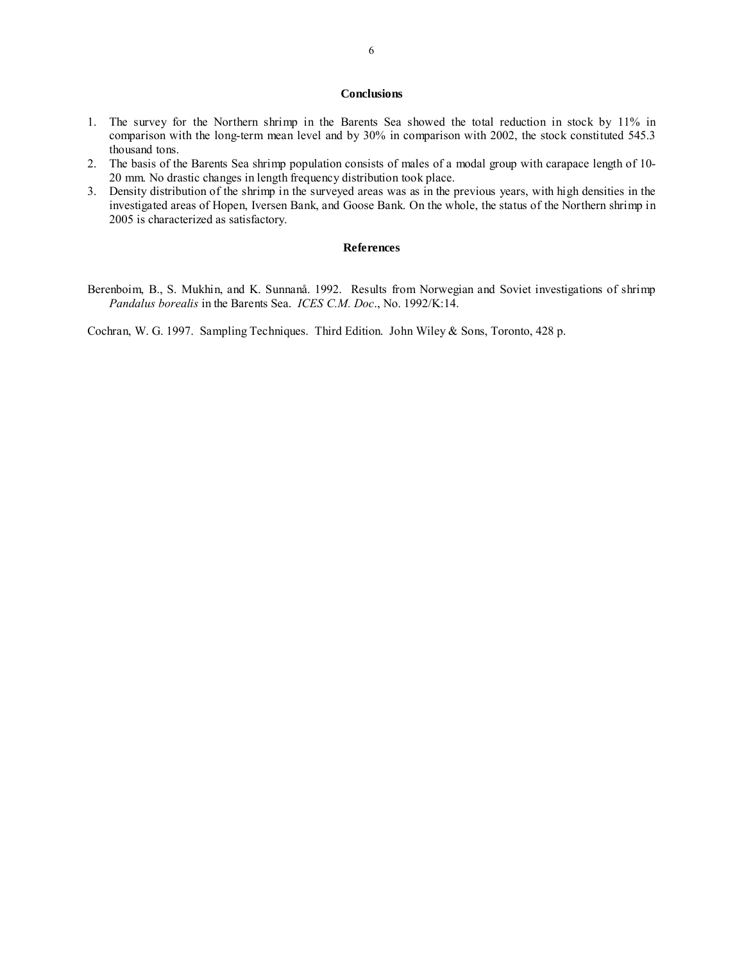## **Conclusions**

- 1. The survey for the Northern shrimp in the Barents Sea showed the total reduction in stock by 11% in comparison with the long-term mean level and by 30% in comparison with 2002, the stock constituted 545.3 thousand tons.
- 2. The basis of the Barents Sea shrimp population consists of males of a modal group with carapace length of 10- 20 mm. No drastic changes in length frequency distribution took place.
- 3. Density distribution of the shrimp in the surveyed areas was as in the previous years, with high densities in the investigated areas of Hopen, Iversen Bank, and Goose Bank. On the whole, the status of the Northern shrimp in 2005 is characterized as satisfactory.

## **References**

Berenboim, B., S. Mukhin, and K. Sunnanå. 1992. Results from Norwegian and Soviet investigations of shrimp *Pandalus borealis* in the Barents Sea. *ICES C.M. Doc*., No. 1992/K:14.

Cochran, W. G. 1997. Sampling Techniques. Third Edition. John Wiley & Sons, Toronto, 428 p.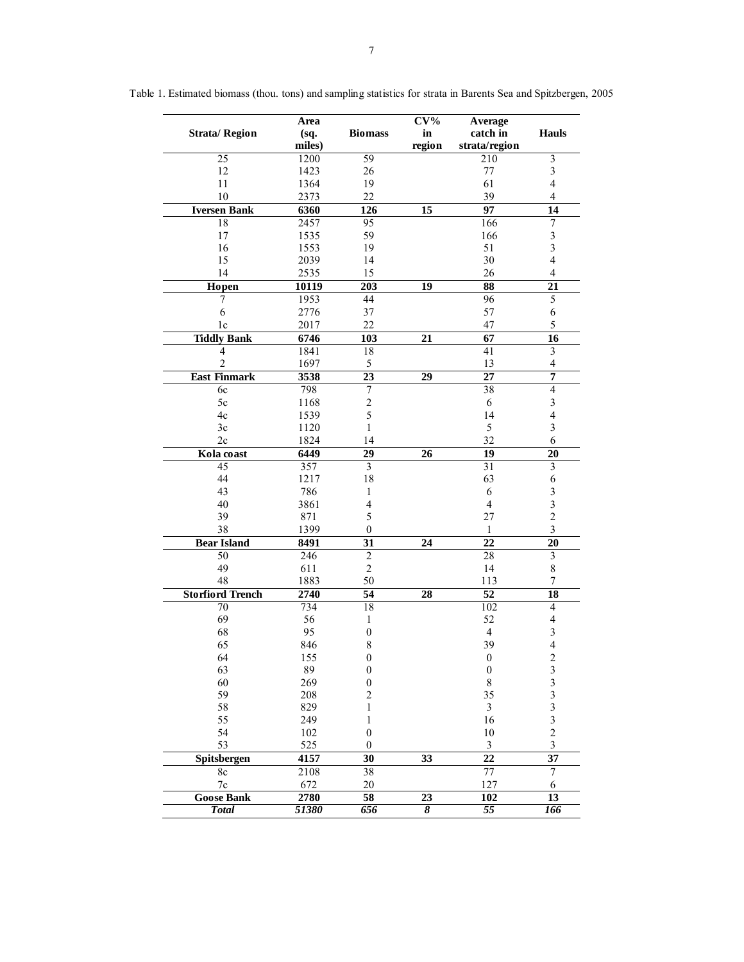|                         | Area          |                                    | $CV\%$              | Average               |                         |
|-------------------------|---------------|------------------------------------|---------------------|-----------------------|-------------------------|
| <b>Strata/Region</b>    | (sq.          | <b>Biomass</b>                     | in                  | catch in              | <b>Hauls</b>            |
|                         | miles)        |                                    | region              | strata/region         |                         |
| $\overline{25}$         | 1200          | $\overline{59}$                    |                     | 210                   | $\overline{\mathbf{3}}$ |
| 12                      | 1423          | 26                                 |                     | 77                    | $\mathfrak{Z}$          |
| 11                      | 1364          | 19                                 |                     | 61                    | $\overline{4}$          |
| 10                      | 2373          | 22                                 |                     | 39                    | $\overline{4}$          |
| <b>Iversen Bank</b>     | 6360          | 126                                | $\overline{15}$     | 97                    | $\overline{14}$         |
| 18                      | 2457          | 95                                 |                     | 166                   | $\boldsymbol{7}$        |
| 17                      | 1535          | 59                                 |                     | 166                   | $\overline{\mathbf{3}}$ |
| 16                      | 1553          | 19                                 |                     | 51                    | $\overline{\mathbf{3}}$ |
| 15<br>14                | 2039          | 14                                 |                     | 30                    | $\overline{\mathbf{4}}$ |
|                         | 2535          | 15                                 |                     | 26                    | $\overline{\mathbf{4}}$ |
| Hopen                   | 10119<br>1953 | 203<br>44                          | 19                  | 88<br>$\overline{96}$ | 21<br>$\overline{5}$    |
| 7<br>6                  | 2776          | 37                                 |                     | 57                    | 6                       |
| 1c                      | 2017          | 22                                 |                     | 47                    | 5                       |
| <b>Tiddly Bank</b>      |               |                                    | 21                  |                       | $\overline{16}$         |
| 4                       | 6746<br>1841  | 103<br>18                          |                     | 67<br>41              | $\overline{\mathbf{3}}$ |
| $\overline{2}$          | 1697          | 5                                  |                     | 13                    | $\overline{4}$          |
| <b>East Finmark</b>     | 3538          | 23                                 | $\overline{29}$     | $\overline{27}$       | 7                       |
| 6c                      | 798           | 7                                  |                     | 38                    | $\overline{4}$          |
| 5c                      | 1168          | $\overline{c}$                     |                     | $\sqrt{6}$            | $\overline{\mathbf{3}}$ |
| 4c                      | 1539          | 5                                  |                     | 14                    | $\overline{4}$          |
| 3c                      | 1120          | $\mathbf{1}$                       |                     | 5                     | $\overline{\mathbf{3}}$ |
| 2c                      | 1824          | 14                                 |                     | 32                    | 6                       |
| Kola coast              | 6449          | 29                                 | $\overline{26}$     | 19                    | $\overline{20}$         |
| 45                      | 357           | $\overline{\mathbf{3}}$            |                     | $\overline{31}$       | $\overline{\mathbf{3}}$ |
| 44                      | 1217          | 18                                 |                     | 63                    | 6                       |
| 43                      | 786           | 1                                  |                     | 6                     | 3                       |
| 40                      | 3861          | $\overline{\mathbf{4}}$            |                     | $\overline{4}$        | $\overline{\mathbf{3}}$ |
| 39                      | 871           | 5                                  |                     | 27                    | $\overline{c}$          |
| 38                      | 1399          | $\theta$                           |                     | 1                     | $\overline{\mathbf{3}}$ |
| <b>Bear Island</b>      | 8491          | 31                                 | 24                  | 22                    | $\overline{20}$         |
| 50                      | 246           | $\overline{2}$                     |                     | 28                    | $\overline{\mathbf{3}}$ |
| 49                      | 611           | $\overline{c}$                     |                     | 14                    | $\,8\,$                 |
| 48                      | 1883          | 50                                 |                     | 113                   | $\boldsymbol{7}$        |
| <b>Storfiord Trench</b> | 2740          | 54                                 | 28                  | 52                    | 18                      |
| 70                      | 734           | 18                                 |                     | 102                   | $\overline{4}$          |
| 69                      | 56            | $\mathbf{1}$                       |                     | 52                    | $\overline{\mathbf{4}}$ |
| 68                      | 95            | $\boldsymbol{0}$                   |                     | $\overline{4}$        | $\mathfrak{Z}$          |
| 65                      | 846           | 8                                  |                     | 39                    | $\overline{4}$          |
| 64                      | 155           | $\boldsymbol{0}$                   |                     | $\boldsymbol{0}$      | $\overline{\mathbf{c}}$ |
| 63                      | 89            | $\boldsymbol{0}$                   |                     | $\boldsymbol{0}$      | $3333$<br>$332$         |
| 60<br>59                | 269<br>208    | $\boldsymbol{0}$<br>$\overline{c}$ |                     | 8                     |                         |
| 58                      | 829           | $\mathbf{1}$                       |                     | 35<br>$\mathfrak{Z}$  |                         |
| 55                      | 249           | 1                                  |                     | 16                    |                         |
| 54                      | 102           | $\boldsymbol{0}$                   |                     | $10\,$                |                         |
| 53                      | 525           | $\boldsymbol{0}$                   |                     | $\mathfrak{Z}$        | $\overline{\mathbf{3}}$ |
| Spitsbergen             | 4157          | 30                                 | 33                  | $\overline{22}$       | $\overline{37}$         |
| $8\mathrm{c}$           | 2108          | 38                                 |                     | $\overline{77}$       | $\overline{7}$          |
| 7c                      | 672           | $20\,$                             |                     | 127                   | 6                       |
| <b>Goose Bank</b>       | 2780          | 58                                 | 23                  | 102                   | 13                      |
| <b>Total</b>            | 51380         | 656                                | $\overline{\delta}$ | 55                    | 166                     |

Table 1. Estimated biomass (thou. tons) and sampling statistics for strata in Barents Sea and Spitzbergen, 2005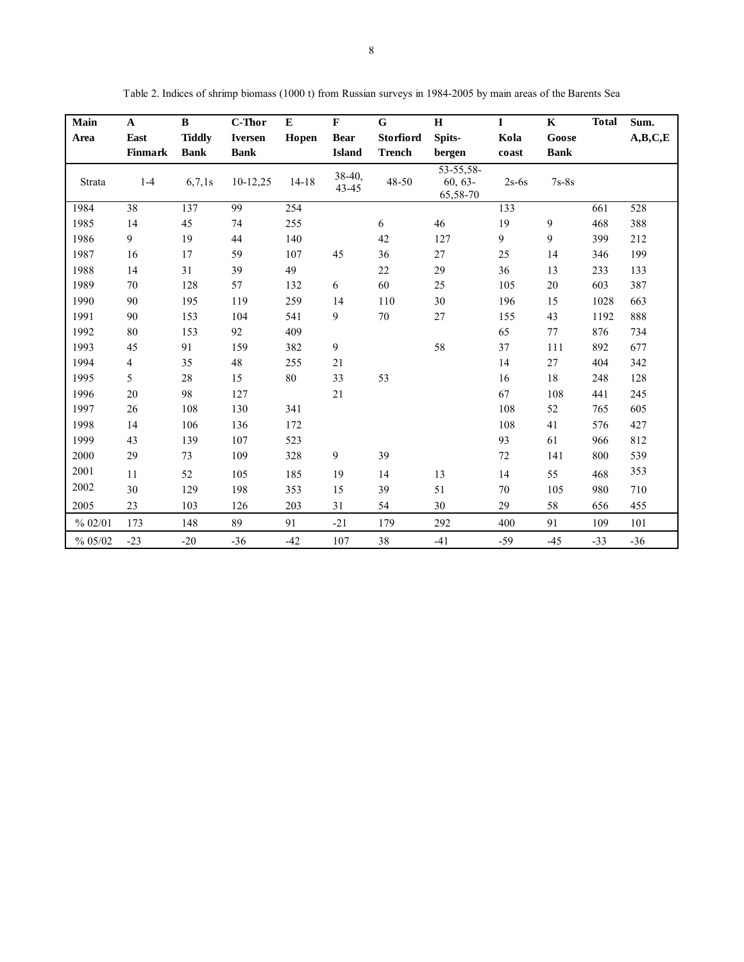| Main    | $\mathbf{A}$ | $\, {\bf B}$  | C-Thor         | ${\bf E}$ | $\mathbf F$       | G             | $\bf H$                               | $\mathbf I$ | $\mathbf K$ | <b>Total</b> | Sum.    |
|---------|--------------|---------------|----------------|-----------|-------------------|---------------|---------------------------------------|-------------|-------------|--------------|---------|
| Area    | East         | <b>Tiddly</b> | <b>Iversen</b> | Hopen     | <b>Bear</b>       | Storfiord     | Spits-                                | Kola        | Goose       |              | A,B,C,E |
|         | Finmark      | <b>Bank</b>   | <b>Bank</b>    |           | <b>Island</b>     | <b>Trench</b> | bergen                                | coast       | <b>Bank</b> |              |         |
| Strata  | $1 - 4$      | 6,7,1s        | $10-12,25$     | $14 - 18$ | $38-40,$<br>43-45 | 48-50         | $53 - 55,58$<br>$60, 63-$<br>65,58-70 | $2s-6s$     | $7s-8s$     |              |         |
| 1984    | 38           | 137           | 99             | 254       |                   |               |                                       | 133         |             | 661          | 528     |
| 1985    | 14           | 45            | 74             | 255       |                   | 6             | 46                                    | 19          | 9           | 468          | 388     |
| 1986    | 9            | 19            | 44             | 140       |                   | 42            | 127                                   | 9           | 9           | 399          | 212     |
| 1987    | 16           | 17            | 59             | 107       | 45                | 36            | 27                                    | 25          | 14          | 346          | 199     |
| 1988    | 14           | 31            | 39             | 49        |                   | 22            | 29                                    | 36          | 13          | 233          | 133     |
| 1989    | 70           | 128           | 57             | 132       | 6                 | 60            | 25                                    | 105         | $20\,$      | 603          | 387     |
| 1990    | 90           | 195           | 119            | 259       | 14                | 110           | 30                                    | 196         | 15          | 1028         | 663     |
| 1991    | 90           | 153           | 104            | 541       | 9                 | 70            | 27                                    | 155         | 43          | 1192         | 888     |
| 1992    | 80           | 153           | 92             | 409       |                   |               |                                       | 65          | 77          | 876          | 734     |
| 1993    | 45           | 91            | 159            | 382       | 9                 |               | 58                                    | 37          | 111         | 892          | 677     |
| 1994    | 4            | 35            | 48             | 255       | 21                |               |                                       | 14          | 27          | 404          | 342     |
| 1995    | 5            | 28            | 15             | 80        | 33                | 53            |                                       | 16          | 18          | 248          | 128     |
| 1996    | 20           | 98            | 127            |           | 21                |               |                                       | 67          | 108         | 441          | 245     |
| 1997    | 26           | 108           | 130            | 341       |                   |               |                                       | 108         | 52          | 765          | 605     |
| 1998    | 14           | 106           | 136            | 172       |                   |               |                                       | 108         | 41          | 576          | 427     |
| 1999    | 43           | 139           | 107            | 523       |                   |               |                                       | 93          | 61          | 966          | 812     |
| 2000    | 29           | 73            | 109            | 328       | 9                 | 39            |                                       | $72\,$      | 141         | 800          | 539     |
| 2001    | 11           | 52            | 105            | 185       | 19                | 14            | 13                                    | 14          | 55          | 468          | 353     |
| 2002    | 30           | 129           | 198            | 353       | 15                | 39            | 51                                    | 70          | 105         | 980          | 710     |
| 2005    | 23           | 103           | 126            | 203       | 31                | 54            | 30                                    | 29          | 58          | 656          | 455     |
| % 02/01 | 173          | 148           | 89             | 91        | $-21$             | 179           | 292                                   | 400         | 91          | 109          | 101     |
| % 05/02 | $-23$        | $-20$         | $-36$          | $-42$     | 107               | 38            | $-41$                                 | $-59$       | $-45$       | $-33$        | $-36$   |

Table 2. Indices of shrimp biomass (1000 t) from Russian surveys in 1984-2005 by main areas of the Barents Sea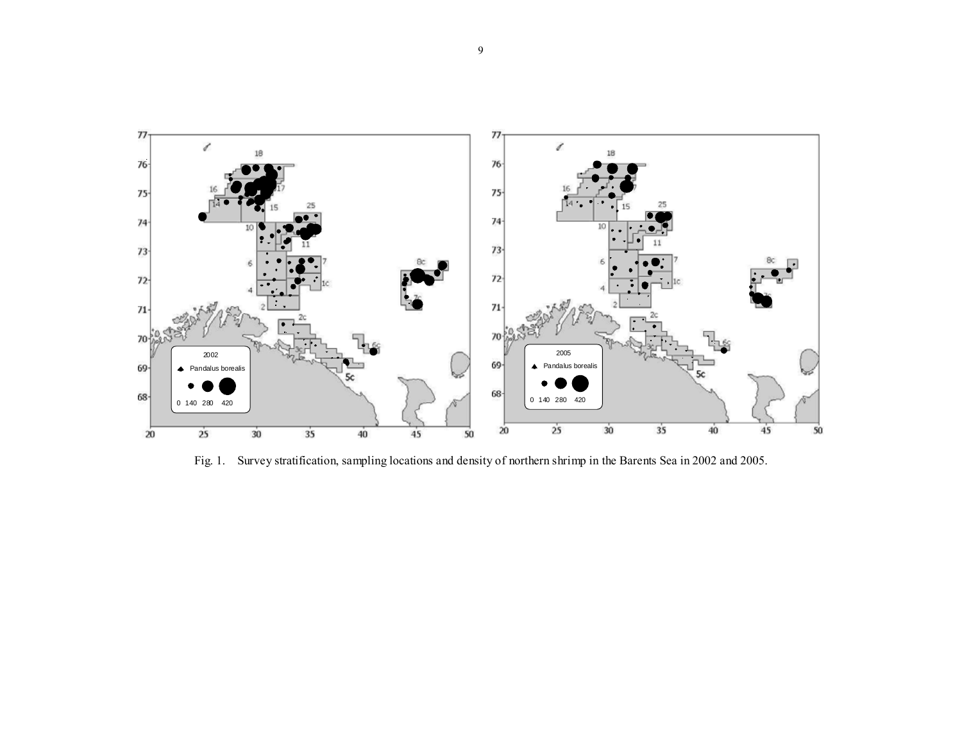

Fig. 1. Survey stratification, sampling locations and density of northern shrimp in the Barents Sea in 2002 and 2005.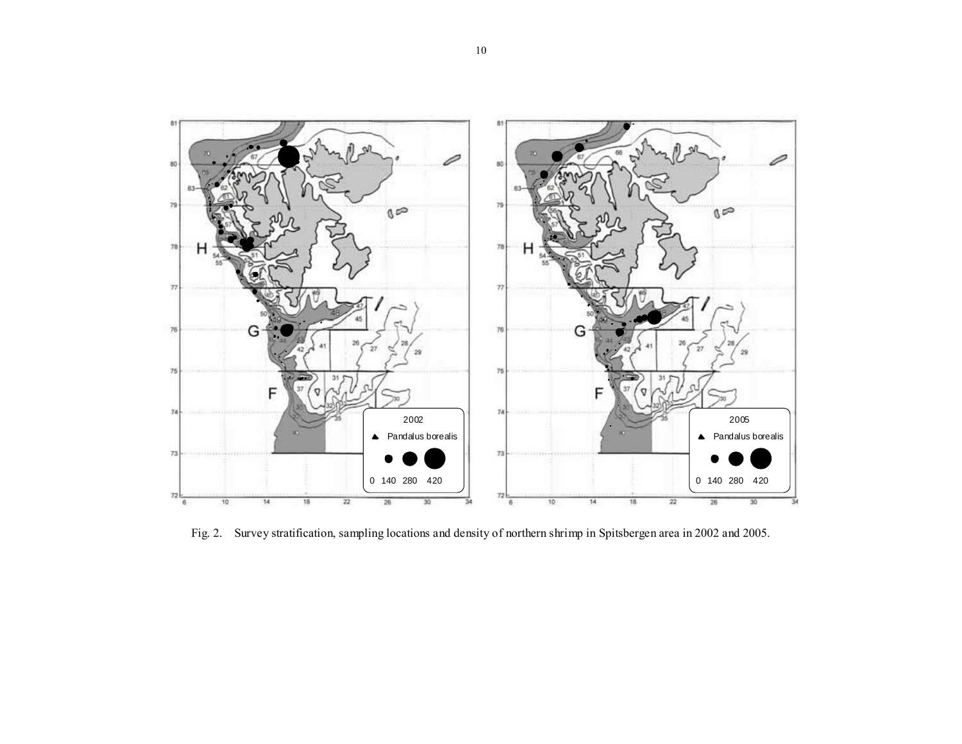

Fig. 2. Survey stratification, sampling locations and density of northern shrimp in Spitsbergen area in 2002 and 2005.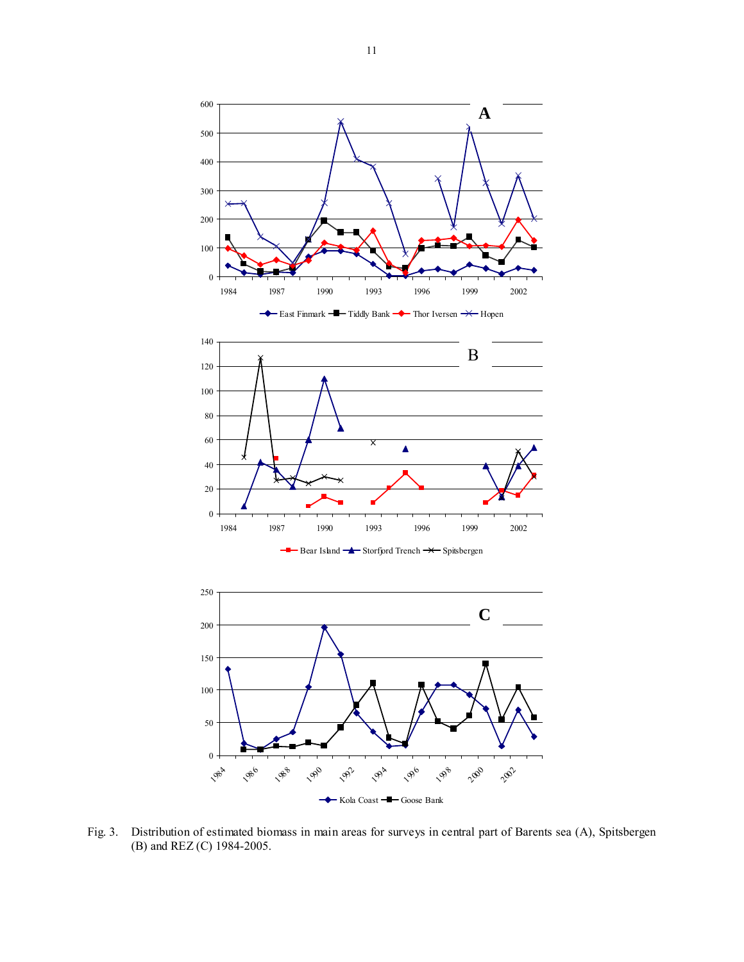









Fig. 3. Distribution of estimated biomass in main areas for surveys in central part of Barents sea (A), Spitsbergen (B) and REZ (C) 1984-2005.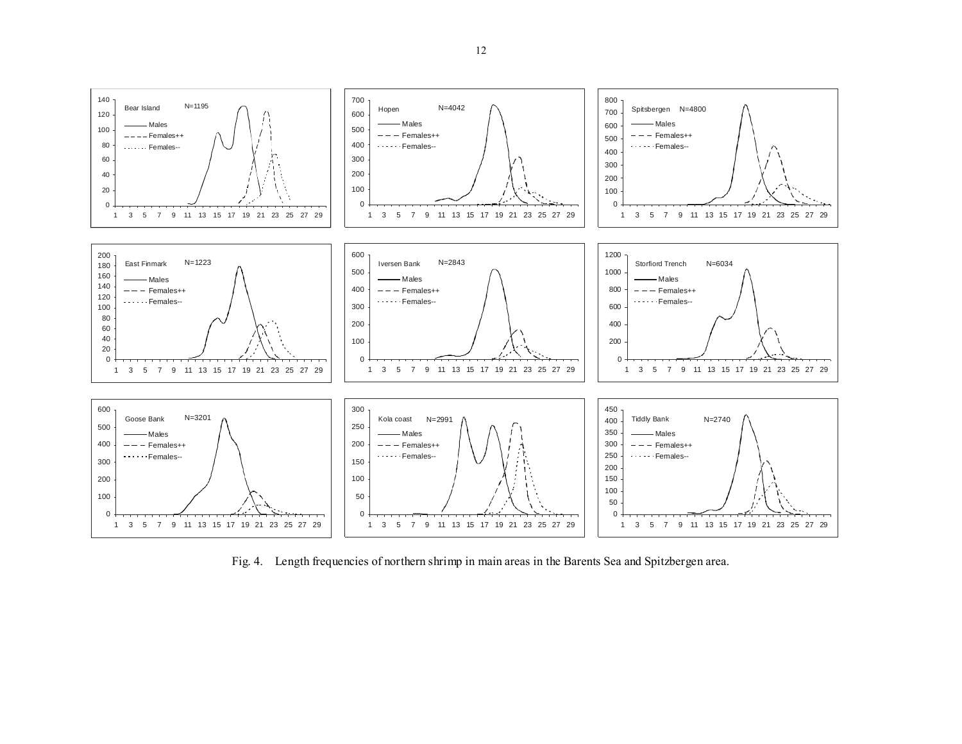

Fig. 4. Length frequencies of northern shrimp in main areas in the Barents Sea and Spitzbergen area.